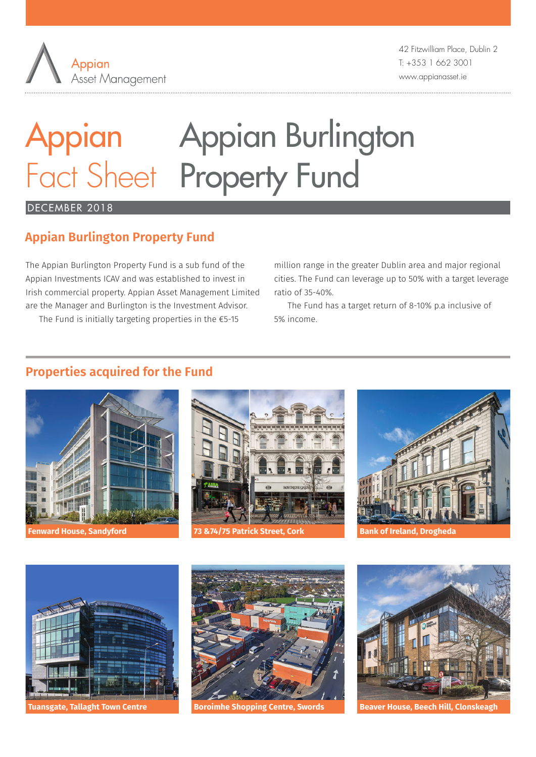

42 Fitzwilliam Place, Dublin 2 T: +353 1 662 3001 www.appianasset.ie

# Appian Appian Burlington Fact Sheet Property Fund

## DECEMBER 2018

# **Appian Burlington Property Fund**

The Appian Burlington Property Fund is a sub fund of the Appian Investments ICAV and was established to invest in Irish commercial property. Appian Asset Management Limited are the Manager and Burlington is the Investment Advisor.

The Fund is initially targeting properties in the €5-15

million range in the greater Dublin area and major regional cities. The Fund can leverage up to 50% with a target leverage ratio of 35-40%.

The Fund has a target return of 8-10% p.a inclusive of 5% income.

## **Properties acquired for the Fund**





**Fenward House, Sandyford 73 &74/75 Patrick Street, Cork Bank of Ireland, Drogheda**









**Tuansgate, Tallaght Town Centre Boroimhe Shopping Centre, Swords Beaver House, Beech Hill, Clonskeagh**